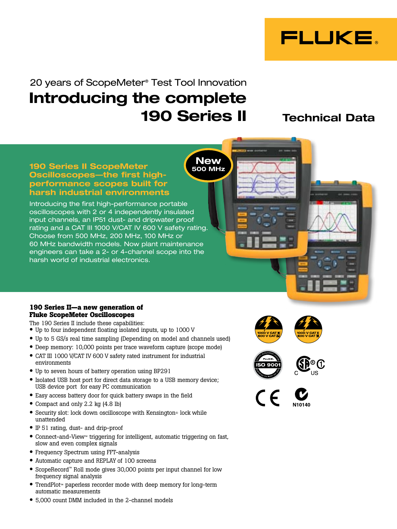

# 20 years of ScopeMeter® Test Tool Innovation Introducing the complete 190 Series II Technical Data

**New** 500 MHz

#### 190 Series II ScopeMeter Oscilloscopes—the first highperformance scopes built for harsh industrial environments

Introducing the first high-performance portable oscilloscopes with 2 or 4 independently insulated input channels, an IP51 dust- and dripwater proof rating and a CAT III 1000 V/CAT IV 600 V safety rating. Choose from 500 MHz, 200 MHz, 100 MHz or 60 MHz bandwidth models. Now plant maintenance engineers can take a 2- or 4-channel scope into the harsh world of industrial electronics.

#### **190 Series II—a new generation of Fluke ScopeMeter Oscilloscopes**

The 190 Series II include these capabilities:

- Up to four independent floating isolated inputs, up to 1000 V
- Up to 5 GS/s real time sampling (Depending on model and channels used)
- Deep memory: 10,000 points per trace waveform capture (scope mode)
- CAT III 1000 V/CAT IV 600 V safety rated instrument for industrial environments
- Up to seven hours of battery operation using BP291
- Isolated USB host port for direct data storage to a USB memory device; USB device port for easy PC communication
- Easy access battery door for quick battery swaps in the field
- Compact and only 2.2 kg (4.8 lb)
- Security slot: lock down oscilloscope with Kensington® lock while unattended
- IP 51 rating, dust- and drip-proof
- Connect-and-View™ triggering for intelligent, automatic triggering on fast, slow and even complex signals
- Frequency Spectrum using FFT-analysis
- Automatic capture and REPLAY of 100 screens
- ScopeRecord™ Roll mode gives 30,000 points per input channel for low frequency signal analysis
- TrendPlot™ paperless recorder mode with deep memory for long-term automatic measurements
- 5,000 count DMM included in the 2-channel models







**CALLED TO**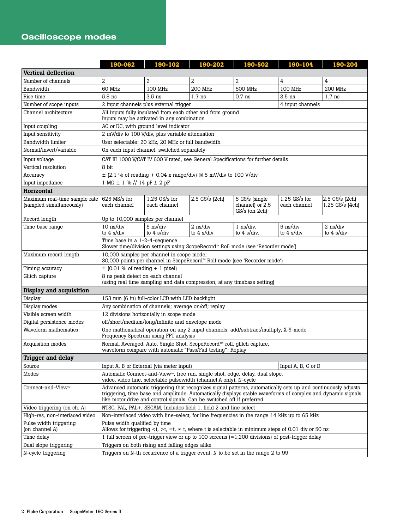## Oscilloscope modes

|                                                           | 190-062                                                                                                                                                                                                                                                                                                 | 190-102                                                                                                                      | 190-202                                          | 190-502                                                                                      | 190-104                                        | 190-204                                          |  |
|-----------------------------------------------------------|---------------------------------------------------------------------------------------------------------------------------------------------------------------------------------------------------------------------------------------------------------------------------------------------------------|------------------------------------------------------------------------------------------------------------------------------|--------------------------------------------------|----------------------------------------------------------------------------------------------|------------------------------------------------|--------------------------------------------------|--|
| <b>Vertical deflection</b>                                |                                                                                                                                                                                                                                                                                                         |                                                                                                                              |                                                  |                                                                                              |                                                |                                                  |  |
| Number of channels                                        | $\overline{2}$                                                                                                                                                                                                                                                                                          | 2                                                                                                                            | 2                                                | $\overline{2}$                                                                               | 4                                              | 4                                                |  |
| Bandwidth                                                 | 60 MHz                                                                                                                                                                                                                                                                                                  | 100 MHz                                                                                                                      | <b>200 MHz</b>                                   | <b>500 MHz</b>                                                                               | 100 MHz                                        | 200 MHz                                          |  |
| Rise time                                                 | $3.5$ ns<br>5.8 ns<br>$3.5$ ns<br>$1.7$ ns<br>$0.7$ ns<br>$1.7$ ns                                                                                                                                                                                                                                      |                                                                                                                              |                                                  |                                                                                              |                                                |                                                  |  |
| Number of scope inputs                                    |                                                                                                                                                                                                                                                                                                         | 2 input channels plus external trigger                                                                                       |                                                  |                                                                                              | 4 input channels                               |                                                  |  |
| Channel architecture                                      |                                                                                                                                                                                                                                                                                                         | All inputs fully insulated from each other and from ground<br>Inputs may be activated in any combination                     |                                                  |                                                                                              |                                                |                                                  |  |
| Input coupling                                            | AC or DC, with ground level indicator                                                                                                                                                                                                                                                                   |                                                                                                                              |                                                  |                                                                                              |                                                |                                                  |  |
| Input sensitivity                                         | 2 mV/div to 100 V/div, plus variable attenuation                                                                                                                                                                                                                                                        |                                                                                                                              |                                                  |                                                                                              |                                                |                                                  |  |
| Bandwidth limiter                                         |                                                                                                                                                                                                                                                                                                         | User selectable: 20 kHz, 20 MHz or full bandwidth                                                                            |                                                  |                                                                                              |                                                |                                                  |  |
| Normal/invert/variable                                    |                                                                                                                                                                                                                                                                                                         | On each input channel, switched separately                                                                                   |                                                  |                                                                                              |                                                |                                                  |  |
| Input voltage                                             |                                                                                                                                                                                                                                                                                                         |                                                                                                                              |                                                  | CAT III 1000 V/CAT IV 600 V rated, see General Specifications for further details            |                                                |                                                  |  |
| Vertical resolution                                       | 8 bit                                                                                                                                                                                                                                                                                                   |                                                                                                                              |                                                  |                                                                                              |                                                |                                                  |  |
| Accuracy                                                  |                                                                                                                                                                                                                                                                                                         | $\pm$ (2.1 % of reading + 0.04 x range/div) @ 5 mV/div to 100 V/div                                                          |                                                  |                                                                                              |                                                |                                                  |  |
| Input impedance                                           | $1 M\Omega \pm 1 \%$ // $14 pF \pm 2 pF$                                                                                                                                                                                                                                                                |                                                                                                                              |                                                  |                                                                                              |                                                |                                                  |  |
| Horizontal                                                |                                                                                                                                                                                                                                                                                                         |                                                                                                                              |                                                  |                                                                                              |                                                |                                                  |  |
| Maximum real-time sample rate<br>(sampled simultaneously) | $625$ MS/s for<br>each channel                                                                                                                                                                                                                                                                          | $1.25$ GS/s for<br>each channel                                                                                              | $2.5$ GS/s (2ch)                                 | 5 GS/s (single<br>channel) or 2.5<br>$GS/s$ (on $2ch$ )                                      | $1.25$ GS/s for<br>each channel                | $2.5$ GS/s $(2ch)$<br>$1.25$ GS/s (4ch)          |  |
| Record length                                             | Up to 10,000 samples per channel                                                                                                                                                                                                                                                                        |                                                                                                                              |                                                  |                                                                                              |                                                |                                                  |  |
| Time base range                                           | $10$ ns/div<br>to $4 \frac{\text{s}}{\text{div}}$                                                                                                                                                                                                                                                       | 5 ns/div<br>to $4 \frac{\text{s}}{\text{div}}$                                                                               | $2$ ns/div<br>to $4 \frac{\text{s}}{\text{div}}$ | $1$ ns/div.<br>to $4 \frac{\text{s}}{\text{div}}$ .                                          | 5 ns/div<br>to $4 \frac{\text{s}}{\text{div}}$ | $2$ ns/div<br>to $4 \frac{\text{s}}{\text{div}}$ |  |
|                                                           | Time base in a 1-2-4-sequence<br>Slower time/division settings using ScopeRecord™ Roll mode (see 'Recorder mode')                                                                                                                                                                                       |                                                                                                                              |                                                  |                                                                                              |                                                |                                                  |  |
| Maximum record length                                     | 10,000 samples per channel in scope mode;<br>30,000 points per channel in ScopeRecord™ Roll mode (see 'Recorder mode')                                                                                                                                                                                  |                                                                                                                              |                                                  |                                                                                              |                                                |                                                  |  |
| Timing accuracy                                           | $\pm$ (0.01 % of reading + 1 pixel)                                                                                                                                                                                                                                                                     |                                                                                                                              |                                                  |                                                                                              |                                                |                                                  |  |
| Glitch capture                                            | 8 ns peak detect on each channel<br>(using real time sampling and data compression, at any timebase setting)                                                                                                                                                                                            |                                                                                                                              |                                                  |                                                                                              |                                                |                                                  |  |
| Display and acquisition                                   |                                                                                                                                                                                                                                                                                                         |                                                                                                                              |                                                  |                                                                                              |                                                |                                                  |  |
| Display                                                   |                                                                                                                                                                                                                                                                                                         | 153 mm (6 in) full-color LCD with LED backlight                                                                              |                                                  |                                                                                              |                                                |                                                  |  |
| Display modes                                             |                                                                                                                                                                                                                                                                                                         | Any combination of channels; average on/off; replay                                                                          |                                                  |                                                                                              |                                                |                                                  |  |
| Visible screen width                                      |                                                                                                                                                                                                                                                                                                         | 12 divisions horizontally in scope mode                                                                                      |                                                  |                                                                                              |                                                |                                                  |  |
| Digital persistence modes                                 | off/short/medium/long/infinite and envelope mode                                                                                                                                                                                                                                                        |                                                                                                                              |                                                  |                                                                                              |                                                |                                                  |  |
| Waveform mathematics                                      |                                                                                                                                                                                                                                                                                                         | One mathematical operation on any 2 input channels: add/subtract/multiply; X-Y-mode<br>Frequency Spectrum using FFT analysis |                                                  |                                                                                              |                                                |                                                  |  |
| Acquisition modes                                         | Normal, Averaged, Auto, Single Shot, ScopeRecord™ roll, glitch capture,<br>waveform compare with automatic "Pass/Fail testing"; Replay                                                                                                                                                                  |                                                                                                                              |                                                  |                                                                                              |                                                |                                                  |  |
| <b>Trigger and delay</b>                                  |                                                                                                                                                                                                                                                                                                         |                                                                                                                              |                                                  |                                                                                              |                                                |                                                  |  |
| Source                                                    |                                                                                                                                                                                                                                                                                                         | Input A, B or External (via meter input)                                                                                     |                                                  |                                                                                              | Input A, B, C or D                             |                                                  |  |
| Modes                                                     | Automatic Connect-and-View™, free run, single shot, edge, delay, dual slope,<br>video, video line, selectable pulsewidth (channel A only), N-cycle                                                                                                                                                      |                                                                                                                              |                                                  |                                                                                              |                                                |                                                  |  |
| Connect-and-View™                                         | Advanced automatic triggering that recognizes signal patterns, automatically sets up and continuously adjusts<br>triggering, time base and amplitude. Automatically displays stable waveforms of complex and dynamic signals<br>like motor drive and control signals. Can be switched off if preferred. |                                                                                                                              |                                                  |                                                                                              |                                                |                                                  |  |
| Video triggering (on ch. A)                               | NTSC, PAL, PAL+, SECAM; Includes field 1, field 2 and line select                                                                                                                                                                                                                                       |                                                                                                                              |                                                  |                                                                                              |                                                |                                                  |  |
| High-res, non-interlaced video                            |                                                                                                                                                                                                                                                                                                         |                                                                                                                              |                                                  | Non-interlaced video with line-select, for line frequencies in the range 14 kHz up to 65 kHz |                                                |                                                  |  |
| Pulse width triggering<br>(on channel A)                  | Pulse width qualified by time<br>Allows for triggering $\lt t$ , $\gt t$ , $\neq t$ , where t is selectable in minimum steps of 0.01 div or 50 ns                                                                                                                                                       |                                                                                                                              |                                                  |                                                                                              |                                                |                                                  |  |
| Time delay                                                | 1 full screen of pre-trigger view or up to 100 screens (=1,200 divisions) of post-trigger delay                                                                                                                                                                                                         |                                                                                                                              |                                                  |                                                                                              |                                                |                                                  |  |
| Dual slope triggering                                     | Triggers on both rising and falling edges alike                                                                                                                                                                                                                                                         |                                                                                                                              |                                                  |                                                                                              |                                                |                                                  |  |
| N-cycle triggering                                        | Triggers on N-th occurrence of a trigger event; N to be set in the range 2 to 99                                                                                                                                                                                                                        |                                                                                                                              |                                                  |                                                                                              |                                                |                                                  |  |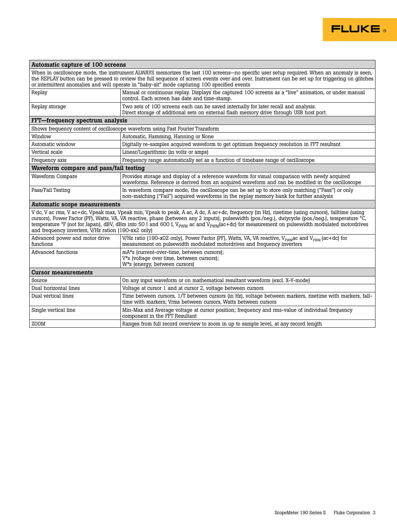

#### Automatic capture of 100 screens

When in oscilloscope mode, the instrument ALWAYS memorizes the last 100 screens—no specific user setup required. When an anomaly is seen, the REPLAY button can be pressed to review the full sequence of screen events over and over. Instrument can be set up for triggering on glitches or intermittent anomalies and will operate in "baby-sit" mode capturing 100 specified events Replay Manual or continuous replay. Displays the captured 100 screens as a "live" animation, or under manual control. Each screen has date and time-stamp. Replay storage Two sets of 100 screens each can be saved internally for later recall and analysis.

|                                                     | Direct storage of additional sets on external flash memory drive through USB host port.                                                                                                                                                                                                                                                                                                                                                                                               |  |  |  |  |  |  |
|-----------------------------------------------------|---------------------------------------------------------------------------------------------------------------------------------------------------------------------------------------------------------------------------------------------------------------------------------------------------------------------------------------------------------------------------------------------------------------------------------------------------------------------------------------|--|--|--|--|--|--|
| FFT-frequency spectrum analysis                     |                                                                                                                                                                                                                                                                                                                                                                                                                                                                                       |  |  |  |  |  |  |
|                                                     | Shows frequency content of oscilloscope waveform using Fast Fourier Transform                                                                                                                                                                                                                                                                                                                                                                                                         |  |  |  |  |  |  |
| Window                                              | Automatic, Hamming, Hanning or None                                                                                                                                                                                                                                                                                                                                                                                                                                                   |  |  |  |  |  |  |
| Automatic window                                    | Digitally re-samples acquired waveform to get optimum frequency resolution in FFT resultant                                                                                                                                                                                                                                                                                                                                                                                           |  |  |  |  |  |  |
| Vertical scale                                      | Linear/Logarithmic (in volts or amps)                                                                                                                                                                                                                                                                                                                                                                                                                                                 |  |  |  |  |  |  |
| Frequency axis                                      | Frequency range automatically set as a function of timebase range of oscilloscope                                                                                                                                                                                                                                                                                                                                                                                                     |  |  |  |  |  |  |
| Waveform compare and pass/fail testing              |                                                                                                                                                                                                                                                                                                                                                                                                                                                                                       |  |  |  |  |  |  |
| Waveform Compare                                    | Provides storage and display of a reference waveform for visual comparison with newly acquired<br>waveforms. Reference is derived from an acquired waveform and can be modified in the oscilloscope                                                                                                                                                                                                                                                                                   |  |  |  |  |  |  |
| Pass/Fail Testing                                   | In waveform compare mode, the oscilloscope can be set up to store only matching ("Pass") or only<br>non-matching ("Fail") acquired waveforms in the replay memory bank for further analysis                                                                                                                                                                                                                                                                                           |  |  |  |  |  |  |
| Automatic scope measurements                        |                                                                                                                                                                                                                                                                                                                                                                                                                                                                                       |  |  |  |  |  |  |
| and frequency inverters, V/Hz ration (190-xx2 only) | V dc, V ac rms, V ac+dc, Vpeak max, Vpeak min, Vpeak to peak, A ac, A dc, A ac+dc, frequency (in Hz), risetime (using cursors), falltime (using<br>cursors), Power Factor (PF), Watts, VA, VA reactive, phase (between any 2 inputs), pulsewidth (pos./neg.), dutycycle (pos./neg.), temperature °C,<br>temperature ${}^{\circ}F$ (not for Japan), dBV, dBm into 50 I and 600 I, V <sub>PWM</sub> ac and V <sub>PWM</sub> (ac+dc) for measurement on pulsewidth modulated motordrives |  |  |  |  |  |  |
| Advanced power and motor drive<br>functions         | V/Hz ratio (190-x02 only), Power Factor (PF), Watts, VA, VA reactive, V <sub>PMM</sub> ac and V <sub>PMM</sub> (ac+dc) for<br>measurement on pulse width modulated motor drives and frequency inverters                                                                                                                                                                                                                                                                               |  |  |  |  |  |  |

| Advanced functions         | mA*s (current-over-time, between cursors);<br>V <sup>*</sup> s (voltage over time, between cursors);                                                                       |  |  |
|----------------------------|----------------------------------------------------------------------------------------------------------------------------------------------------------------------------|--|--|
|                            | W <sup>*</sup> s (energy, between cursors)                                                                                                                                 |  |  |
| <b>Cursor measurements</b> |                                                                                                                                                                            |  |  |
| Source                     | On any input waveform or on mathematical resultant waveform (excl. X-Y-mode)                                                                                               |  |  |
| Dual horizontal lines      | Voltage at cursor 1 and at cursor 2, voltage between cursors                                                                                                               |  |  |
| Dual vertical lines        | Time between cursors, 1/T between cursors (in Hz), voltage between markers, risetime with markers, fall-<br>time with markers; Vrms between cursors, Watts between cursors |  |  |
| Single vertical line       | Min-Max and Average voltage at cursor position; frequency and rms-value of individual frequency<br>component in the FFT Resultant                                          |  |  |
| l ZOOM                     | Ranges from full record overview to zoom in up to sample level, at any record length                                                                                       |  |  |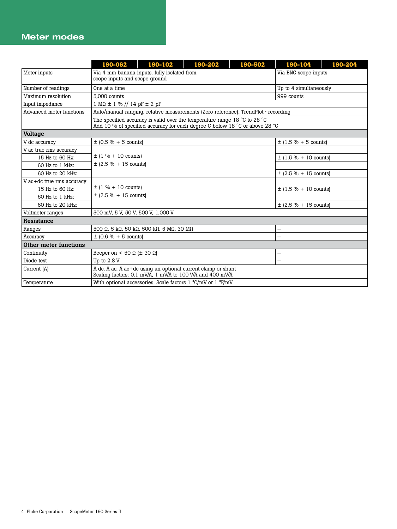#### Meter modes

|                           | 190-062                                                                                                                   | 190-102                                                                                                                                                                    | 190-202                   | 190-502 | 190-104                   | 190-204                  |  |  |
|---------------------------|---------------------------------------------------------------------------------------------------------------------------|----------------------------------------------------------------------------------------------------------------------------------------------------------------------------|---------------------------|---------|---------------------------|--------------------------|--|--|
| Meter inputs              | scope inputs and scope ground                                                                                             | Via 4 mm banana inputs, fully isolated from                                                                                                                                | Via BNC scope inputs      |         |                           |                          |  |  |
| Number of readings        | One at a time                                                                                                             |                                                                                                                                                                            |                           |         |                           | Up to 4 simultaneously   |  |  |
| Maximum resolution        | 5.000 counts                                                                                                              |                                                                                                                                                                            |                           |         | 999 counts                |                          |  |  |
| Input impedance           |                                                                                                                           | $1 M\Omega \pm 1 \%$ // $14 pF \pm 2 pF$                                                                                                                                   |                           |         |                           |                          |  |  |
| Advanced meter functions  |                                                                                                                           | Auto/manual ranging, relative measurements (Zero reference), TrendPlot™ recording                                                                                          |                           |         |                           |                          |  |  |
|                           |                                                                                                                           | The specified accuracy is valid over the temperature range 18 $\degree$ C to 28 $\degree$ C<br>Add 10 % of specified accuracy for each degree C below 18 °C or above 28 °C |                           |         |                           |                          |  |  |
| <b>Voltage</b>            |                                                                                                                           |                                                                                                                                                                            |                           |         |                           |                          |  |  |
| V dc accuracy             |                                                                                                                           | $\pm$ (0.5 % + 5 counts)                                                                                                                                                   |                           |         |                           | $\pm$ (1.5 % + 5 counts) |  |  |
| V ac true rms accuracy    |                                                                                                                           |                                                                                                                                                                            |                           |         |                           |                          |  |  |
| 15 Hz to 60 Hz:           | $\pm$ (1 % + 10 counts)                                                                                                   |                                                                                                                                                                            |                           |         | $\pm$ (1.5 % + 10 counts) |                          |  |  |
| 60 Hz to 1 kHz:           | $\pm$ (2.5 % + 15 counts)                                                                                                 |                                                                                                                                                                            |                           |         |                           |                          |  |  |
| 60 Hz to 20 kHz:          |                                                                                                                           |                                                                                                                                                                            | $\pm$ (2.5 % + 15 counts) |         |                           |                          |  |  |
| V ac+dc true rms accuracy |                                                                                                                           |                                                                                                                                                                            |                           |         |                           |                          |  |  |
| 15 Hz to 60 Hz:           | $\pm$ (1 % + 10 counts)<br>$\pm$ (2.5 % + 15 counts)                                                                      |                                                                                                                                                                            |                           |         | $\pm$ (1.5 % + 10 counts) |                          |  |  |
| 60 Hz to 1 kHz:           |                                                                                                                           |                                                                                                                                                                            |                           |         |                           |                          |  |  |
| 60 Hz to 20 kHz:          |                                                                                                                           |                                                                                                                                                                            |                           |         | $\pm$ (2.5 % + 15 counts) |                          |  |  |
| Voltmeter ranges          | 500 mV, 5 V, 50 V, 500 V, 1,000 V                                                                                         |                                                                                                                                                                            |                           |         |                           |                          |  |  |
| Resistance                |                                                                                                                           |                                                                                                                                                                            |                           |         |                           |                          |  |  |
| Ranges                    |                                                                                                                           | 500 $\Omega$ , 5 k $\Omega$ , 50 k $\Omega$ , 500 k $\Omega$ , 5 M $\Omega$ , 30 M $\Omega$                                                                                |                           |         |                           |                          |  |  |
| Accuracy                  | $\pm$ (0.6 % + 5 counts)                                                                                                  |                                                                                                                                                                            |                           |         |                           |                          |  |  |
| Other meter functions     |                                                                                                                           |                                                                                                                                                                            |                           |         |                           |                          |  |  |
| Continuity                | Beeper on < 50 $\Omega$ ( $\pm$ 30 $\Omega$ )                                                                             |                                                                                                                                                                            |                           |         |                           |                          |  |  |
| Diode test                | Up to $2.8V$                                                                                                              |                                                                                                                                                                            |                           |         | -                         |                          |  |  |
| Current (A)               | A dc, A ac, A ac+dc using an optional current clamp or shunt<br>Scaling factors: 0.1 mV/A, 1 mV/A to 100 V/A and 400 mV/A |                                                                                                                                                                            |                           |         |                           |                          |  |  |
| Temperature               | With optional accessories. Scale factors $1 °C/mV$ or $1 °F/mV$                                                           |                                                                                                                                                                            |                           |         |                           |                          |  |  |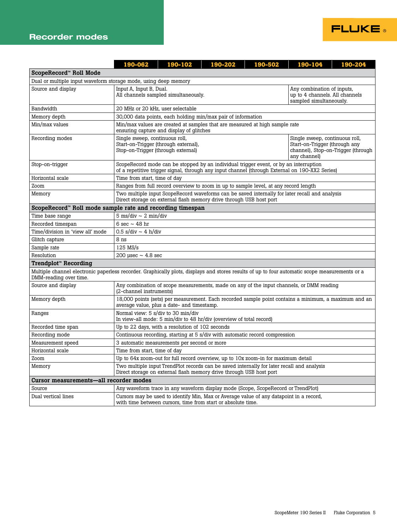#### Recorder modes

|                                                                                                                                                                          | 190-062                                                                                                                                                                                                                               | 190-102 | 190-202                                                                                                                                                                                 | 190-502 | 190-104 | 190-204 |
|--------------------------------------------------------------------------------------------------------------------------------------------------------------------------|---------------------------------------------------------------------------------------------------------------------------------------------------------------------------------------------------------------------------------------|---------|-----------------------------------------------------------------------------------------------------------------------------------------------------------------------------------------|---------|---------|---------|
| ScopeRecord™ Roll Mode                                                                                                                                                   |                                                                                                                                                                                                                                       |         |                                                                                                                                                                                         |         |         |         |
| Dual or multiple input waveform storage mode, using deep memory                                                                                                          |                                                                                                                                                                                                                                       |         |                                                                                                                                                                                         |         |         |         |
| Source and display                                                                                                                                                       | Input A, Input B, Dual.<br>All channels sampled simultaneously.                                                                                                                                                                       |         | Any combination of inputs,<br>up to 4 channels. All channels<br>sampled simultaneously.                                                                                                 |         |         |         |
| Bandwidth                                                                                                                                                                | 20 MHz or 20 kHz, user selectable                                                                                                                                                                                                     |         |                                                                                                                                                                                         |         |         |         |
| Memory depth                                                                                                                                                             |                                                                                                                                                                                                                                       |         | 30,000 data points, each holding min/max pair of information                                                                                                                            |         |         |         |
| Min/max values                                                                                                                                                           | Min/max values are created at samples that are measured at high sample rate<br>ensuring capture and display of glitches                                                                                                               |         |                                                                                                                                                                                         |         |         |         |
| Recording modes                                                                                                                                                          | Single sweep, continuous roll,<br>Single sweep, continuous roll,<br>Start-on-Trigger (through external),<br>Start-on-Trigger (through any<br>Stop-on-Trigger (through external)<br>channel), Stop-on-Trigger (through<br>any channel) |         |                                                                                                                                                                                         |         |         |         |
| Stop-on-trigger                                                                                                                                                          |                                                                                                                                                                                                                                       |         | ScopeRecord mode can be stopped by an individual trigger event, or by an interruption<br>of a repetitive trigger signal, through any input channel (through External on 190-XX2 Series) |         |         |         |
| Horizontal scale                                                                                                                                                         | Time from start, time of day                                                                                                                                                                                                          |         |                                                                                                                                                                                         |         |         |         |
| Zoom                                                                                                                                                                     |                                                                                                                                                                                                                                       |         | Ranges from full record overview to zoom in up to sample level, at any record length                                                                                                    |         |         |         |
| Memory                                                                                                                                                                   | Two multiple input ScopeRecord waveforms can be saved internally for later recall and analysis<br>Direct storage on external flash memory drive through USB host port                                                                 |         |                                                                                                                                                                                         |         |         |         |
| ScopeRecord™ Roll mode sample rate and recording timespan                                                                                                                |                                                                                                                                                                                                                                       |         |                                                                                                                                                                                         |         |         |         |
| Time base range                                                                                                                                                          | $5 \text{ ms}/\text{div} \sim 2 \text{ min}/\text{div}$                                                                                                                                                                               |         |                                                                                                                                                                                         |         |         |         |
| Recorded timespan                                                                                                                                                        | 6 sec $\sim$ 48 hr                                                                                                                                                                                                                    |         |                                                                                                                                                                                         |         |         |         |
| Time/division in 'view all' mode                                                                                                                                         | $0.5$ s/div ~ 4 h/div                                                                                                                                                                                                                 |         |                                                                                                                                                                                         |         |         |         |
| Glitch capture                                                                                                                                                           | 8 ns                                                                                                                                                                                                                                  |         |                                                                                                                                                                                         |         |         |         |
| Sample rate                                                                                                                                                              | $125$ MS/s                                                                                                                                                                                                                            |         |                                                                                                                                                                                         |         |         |         |
| Resolution                                                                                                                                                               | 200 usec $\sim$ 4.8 sec                                                                                                                                                                                                               |         |                                                                                                                                                                                         |         |         |         |
| Trendplot™ Recording                                                                                                                                                     |                                                                                                                                                                                                                                       |         |                                                                                                                                                                                         |         |         |         |
| Multiple channel electronic paperless recorder. Graphically plots, displays and stores results of up to four automatic scope measurements or a<br>DMM-reading over time. |                                                                                                                                                                                                                                       |         |                                                                                                                                                                                         |         |         |         |
| Source and display                                                                                                                                                       | Any combination of scope measurements, made on any of the input channels, or DMM reading<br>(2-channel instruments)                                                                                                                   |         |                                                                                                                                                                                         |         |         |         |
| Memory depth                                                                                                                                                             | 18,000 points (sets) per measurement. Each recorded sample point contains a minimum, a maximum and an<br>average value, plus a date- and timestamp.                                                                                   |         |                                                                                                                                                                                         |         |         |         |
| Ranges                                                                                                                                                                   | Normal view: 5 s/div to 30 min/div<br>In view-all mode: 5 min/div to 48 hr/div (overview of total record)                                                                                                                             |         |                                                                                                                                                                                         |         |         |         |
| Recorded time span                                                                                                                                                       | Up to 22 days, with a resolution of 102 seconds                                                                                                                                                                                       |         |                                                                                                                                                                                         |         |         |         |
| Recording mode                                                                                                                                                           | Continuous recording, starting at 5 s/div with automatic record compression                                                                                                                                                           |         |                                                                                                                                                                                         |         |         |         |
| Measurement speed                                                                                                                                                        | 3 automatic measurements per second or more                                                                                                                                                                                           |         |                                                                                                                                                                                         |         |         |         |
| Horizontal scale                                                                                                                                                         | Time from start, time of day                                                                                                                                                                                                          |         |                                                                                                                                                                                         |         |         |         |
| Zoom                                                                                                                                                                     |                                                                                                                                                                                                                                       |         | Up to 64x zoom-out for full record overview, up to 10x zoom-in for maximum detail                                                                                                       |         |         |         |
| Memory                                                                                                                                                                   | Two multiple input TrendPlot records can be saved internally for later recall and analysis<br>Direct storage on external flash memory drive through USB host port                                                                     |         |                                                                                                                                                                                         |         |         |         |
| Cursor measurements-all recorder modes                                                                                                                                   |                                                                                                                                                                                                                                       |         |                                                                                                                                                                                         |         |         |         |
| Source                                                                                                                                                                   |                                                                                                                                                                                                                                       |         | Any waveform trace in any waveform display mode (Scope, ScopeRecord or TrendPlot)                                                                                                       |         |         |         |
| Dual vertical lines                                                                                                                                                      | Cursors may be used to identify Min, Max or Average value of any datapoint in a record,<br>with time between cursors, time from start or absolute time.                                                                               |         |                                                                                                                                                                                         |         |         |         |

**FLUKE**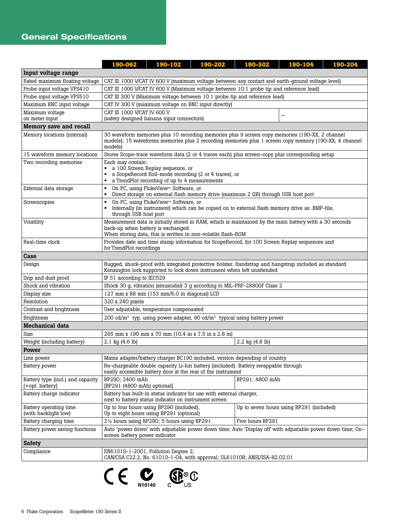## General Specifications

|                                                      | 190-062                                                                                                                                                                                                                          | 190-102                                                                                                                                                         | 190-202                                               | 190-502                                                                                                    | 190-104 | 190-204 |  |
|------------------------------------------------------|----------------------------------------------------------------------------------------------------------------------------------------------------------------------------------------------------------------------------------|-----------------------------------------------------------------------------------------------------------------------------------------------------------------|-------------------------------------------------------|------------------------------------------------------------------------------------------------------------|---------|---------|--|
| Input voltage range                                  |                                                                                                                                                                                                                                  |                                                                                                                                                                 |                                                       |                                                                                                            |         |         |  |
| Rated maximum floating voltage                       | CAT III 1000 V/CAT IV 600 V (maximum voltage between any contact and earth-ground voltage level)                                                                                                                                 |                                                                                                                                                                 |                                                       |                                                                                                            |         |         |  |
| Probe input voltage VPS410                           | CAT III 1000 V/CAT IV 600 V (Maximum voltage between 10:1 probe tip and reference lead)                                                                                                                                          |                                                                                                                                                                 |                                                       |                                                                                                            |         |         |  |
| Probe input voltage VPS510                           | CAT III 300 V (Maximum voltage between 10:1 probe tip and reference lead)                                                                                                                                                        |                                                                                                                                                                 |                                                       |                                                                                                            |         |         |  |
| Maximum BNC input voltage                            | CAT IV 300 V (maximum voltage on BNC input directly)                                                                                                                                                                             |                                                                                                                                                                 |                                                       |                                                                                                            |         |         |  |
| Maximum voltage                                      | CAT III 1000 V/CAT IV 600 V                                                                                                                                                                                                      |                                                                                                                                                                 |                                                       |                                                                                                            |         |         |  |
| on meter input                                       | (safety designed banana input connectors)                                                                                                                                                                                        |                                                                                                                                                                 |                                                       |                                                                                                            |         |         |  |
| Memory save and recall                               |                                                                                                                                                                                                                                  |                                                                                                                                                                 |                                                       |                                                                                                            |         |         |  |
| Memory locations (internal)                          | 30 waveform memories plus 10 recording memories plus 9 screen copy memories (190-XX, 2 channel<br>models); 15 waveforms memories plus 2 recording memories plus 1 screen copy memory (190-XX, 4 channel<br>models)               |                                                                                                                                                                 |                                                       |                                                                                                            |         |         |  |
| 15 waveform memory locations                         |                                                                                                                                                                                                                                  |                                                                                                                                                                 |                                                       | Stores Scope-trace waveform data (2 or 4 traces each) plus screen-copy plus corresponding setup            |         |         |  |
| Two recording memories                               | Each may contain:                                                                                                                                                                                                                | a 100 Screen Replay sequence, or<br>a TrendPlot recording of up to 4 measurements                                                                               | a ScopeRecord Roll-mode recording (2 or 4 traces), or |                                                                                                            |         |         |  |
| External data storage                                | $\bullet$<br>$\bullet$                                                                                                                                                                                                           | On PC, using FlukeView™ Software, or                                                                                                                            |                                                       | Direct storage on external flash memory drive (maximum 2 GB) through USB host port                         |         |         |  |
| Screencopies                                         | $\bullet$                                                                                                                                                                                                                        | On PC, using FlukeView™ Software, or<br>Internally (in instrument) which can be copied on to external flash memory drive as .BMP-file,<br>through USB host port |                                                       |                                                                                                            |         |         |  |
| Volatility                                           | Measurement data is initially stored in RAM, which is maintained by the main battery with a 30 seconds<br>back-up when battery is exchanged<br>When storing data, this is written in non-volatile flash-ROM                      |                                                                                                                                                                 |                                                       |                                                                                                            |         |         |  |
| Real-time clock                                      | Provides date and time stamp information for ScopeRecord, for 100 Screen Replay sequences and<br>for TrendPlot recordings                                                                                                        |                                                                                                                                                                 |                                                       |                                                                                                            |         |         |  |
| Case                                                 |                                                                                                                                                                                                                                  |                                                                                                                                                                 |                                                       |                                                                                                            |         |         |  |
| Design                                               | Rugged, shock-proof with integrated protective holster. Handstrap and hangstrap included as standard<br>Kensington lock supported to lock down instrument when left unattended                                                   |                                                                                                                                                                 |                                                       |                                                                                                            |         |         |  |
| Drip and dust proof                                  | IP 51 according to IEC529                                                                                                                                                                                                        |                                                                                                                                                                 |                                                       |                                                                                                            |         |         |  |
| Shock and vibration                                  | Shock 30 g, vibration (sinusoidal) 3 g according to MIL-PRF-28800F Class 2                                                                                                                                                       |                                                                                                                                                                 |                                                       |                                                                                                            |         |         |  |
| Display size                                         | 127 mm x 88 mm (153 mm/6.0 in diagonal) LCD                                                                                                                                                                                      |                                                                                                                                                                 |                                                       |                                                                                                            |         |         |  |
| Resolution                                           | 320 x 240 pixels                                                                                                                                                                                                                 |                                                                                                                                                                 |                                                       |                                                                                                            |         |         |  |
| Contrast and brightness                              | User adjustable, temperature compensated                                                                                                                                                                                         |                                                                                                                                                                 |                                                       |                                                                                                            |         |         |  |
| <b>Brightness</b>                                    | 200 cd/m <sup>2</sup> typ. using power adapter, 90 cd/m <sup>2</sup> typical using battery power                                                                                                                                 |                                                                                                                                                                 |                                                       |                                                                                                            |         |         |  |
| <b>Mechanical data</b>                               |                                                                                                                                                                                                                                  |                                                                                                                                                                 |                                                       |                                                                                                            |         |         |  |
| Size                                                 | 265 mm x 190 mm x 70 mm (10.4 in x 7.5 in x 2.8 in)                                                                                                                                                                              |                                                                                                                                                                 |                                                       |                                                                                                            |         |         |  |
| Weight (including battery)                           | 2.1 kg (4.6 lb)                                                                                                                                                                                                                  |                                                                                                                                                                 |                                                       | 2.2 kg (4.8 lb)                                                                                            |         |         |  |
| Power                                                |                                                                                                                                                                                                                                  |                                                                                                                                                                 |                                                       |                                                                                                            |         |         |  |
| Line power                                           |                                                                                                                                                                                                                                  |                                                                                                                                                                 |                                                       |                                                                                                            |         |         |  |
| Battery power                                        | Mains adapter/battery charger BC190 included, version depending of country<br>Re-chargeable double capacity Li-Ion battery (included). Battery swappable through<br>easily accessible battery door at the rear of the instrument |                                                                                                                                                                 |                                                       |                                                                                                            |         |         |  |
| Battery type (incl.) and capacity<br>[+opt. battery] | BP290; 2400 mAh<br>BP291; 4800 mAh<br>[BP291 (4800 mAh) optional]                                                                                                                                                                |                                                                                                                                                                 |                                                       |                                                                                                            |         |         |  |
| Battery charge indicator                             | Battery has built-in status indicator for use with external charger,<br>next to battery status indicator on instrument screen                                                                                                    |                                                                                                                                                                 |                                                       |                                                                                                            |         |         |  |
| Battery operating time<br>(with backlight low)       | Up to four hours using BP290 (included),<br>Up to seven hours using BP291 (included)<br>Up to eight hours using BP291 (optional)                                                                                                 |                                                                                                                                                                 |                                                       |                                                                                                            |         |         |  |
| Battery charging time                                | Five hours BP291<br>$2\frac{1}{2}$ hours using BP290; 5 hours using BP291                                                                                                                                                        |                                                                                                                                                                 |                                                       |                                                                                                            |         |         |  |
| Battery power saving functions                       | screen battery power indicator                                                                                                                                                                                                   |                                                                                                                                                                 |                                                       | Auto 'power down' with adjustable power down time; Auto 'Display off' with adjustable power down time; On- |         |         |  |
| <b>Safety</b>                                        |                                                                                                                                                                                                                                  |                                                                                                                                                                 |                                                       |                                                                                                            |         |         |  |
| Compliance                                           | EN61010-1-2001, Pollution Degree 2;<br>CAN/CSA C22.2, No. 61010-1-04, with approval; UL61010B; ANSI/ISA-82.02.01                                                                                                                 |                                                                                                                                                                 |                                                       |                                                                                                            |         |         |  |

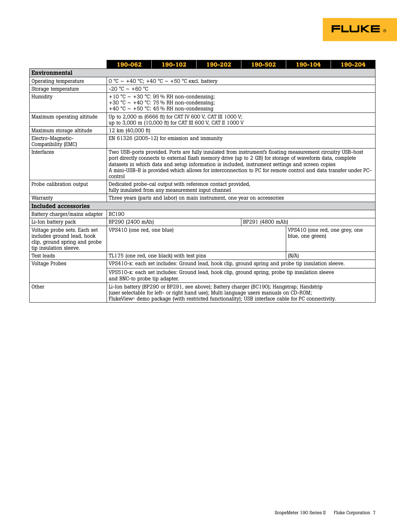

|                                                                                                                       | 190-062                                                                                                                                                                                                                                                                                                                                                                                                                                                  | 190-102                                      | 190-202 | 190-502 | 190-104 | 190-204 |  |  |
|-----------------------------------------------------------------------------------------------------------------------|----------------------------------------------------------------------------------------------------------------------------------------------------------------------------------------------------------------------------------------------------------------------------------------------------------------------------------------------------------------------------------------------------------------------------------------------------------|----------------------------------------------|---------|---------|---------|---------|--|--|
| Environmental                                                                                                         |                                                                                                                                                                                                                                                                                                                                                                                                                                                          |                                              |         |         |         |         |  |  |
| Operating temperature                                                                                                 | 0 °C ~ +40 °C; +40 °C ~ +50 °C excl. battery                                                                                                                                                                                                                                                                                                                                                                                                             |                                              |         |         |         |         |  |  |
| Storage temperature                                                                                                   | $-20 °C \sim +60 °C$                                                                                                                                                                                                                                                                                                                                                                                                                                     |                                              |         |         |         |         |  |  |
| Humidity                                                                                                              | +10 °C ~ +30 °C: 95% RH non-condensing;<br>+30 °C ~ +40 °C: 75 % RH non-condensing;<br>+40 °C ~ +50 °C: 45 % RH non-condensing                                                                                                                                                                                                                                                                                                                           |                                              |         |         |         |         |  |  |
| Maximum operating altitude                                                                                            | Up to 2,000 m (6666 ft) for CAT IV 600 V, CAT III 1000 V;<br>up to 3,000 m (10,000 ft) for CAT III 600 V, CAT II 1000 V                                                                                                                                                                                                                                                                                                                                  |                                              |         |         |         |         |  |  |
| Maximum storage altitude                                                                                              | 12 km (40,000 ft)                                                                                                                                                                                                                                                                                                                                                                                                                                        |                                              |         |         |         |         |  |  |
| Electro-Magnetic-<br>Compatibility (EMC)                                                                              |                                                                                                                                                                                                                                                                                                                                                                                                                                                          | EN 61326 (2005-12) for emission and immunity |         |         |         |         |  |  |
| <b>Interfaces</b>                                                                                                     | Two USB-ports provided. Ports are fully insulated from instrument's floating measurement circuitry USB-host<br>port directly connects to external flash memory drive (up to 2 GB) for storage of waveform data, complete<br>datasets in which data and setup information is included, instrument settings and screen copies<br>A mini-USB-B is provided which allows for interconnection to PC for remote control and data transfer under PC-<br>control |                                              |         |         |         |         |  |  |
| Probe calibration output                                                                                              | Dedicated probe-cal output with reference contact provided,<br>fully insulated from any measurement input channel                                                                                                                                                                                                                                                                                                                                        |                                              |         |         |         |         |  |  |
| Warranty                                                                                                              | Three years (parts and labor) on main instrument, one year on accessories                                                                                                                                                                                                                                                                                                                                                                                |                                              |         |         |         |         |  |  |
| Included accessories                                                                                                  |                                                                                                                                                                                                                                                                                                                                                                                                                                                          |                                              |         |         |         |         |  |  |
| Battery charger/mains adapter                                                                                         | <b>BC190</b>                                                                                                                                                                                                                                                                                                                                                                                                                                             |                                              |         |         |         |         |  |  |
| Li-Ion battery pack                                                                                                   | BP291 (4800 mAh)<br>BP290 (2400 mAh)                                                                                                                                                                                                                                                                                                                                                                                                                     |                                              |         |         |         |         |  |  |
| Voltage probe sets. Each set<br>includes ground lead, hook<br>clip, ground spring and probe<br>tip insulation sleeve. | VPS410 (one red, one blue)<br>VPS410 (one red, one grey, one<br>blue, one green)                                                                                                                                                                                                                                                                                                                                                                         |                                              |         |         |         |         |  |  |
| Test leads                                                                                                            | (N/A)<br>TL175 (one red, one black) with test pins                                                                                                                                                                                                                                                                                                                                                                                                       |                                              |         |         |         |         |  |  |
| <b>Voltage Probes</b>                                                                                                 | VPS410-x: each set includes: Ground lead, hook clip, ground spring and probe tip insulation sleeve.                                                                                                                                                                                                                                                                                                                                                      |                                              |         |         |         |         |  |  |
|                                                                                                                       | VPS510-x: each set includes: Ground lead, hook clip, ground spring, probe tip insulation sleeve<br>and BNC-to probe tip adapter.                                                                                                                                                                                                                                                                                                                         |                                              |         |         |         |         |  |  |
| Other                                                                                                                 | Li-Ion battery (BP290 or BP291, see above); Battery charger (BC190); Hangstrap; Handstrip<br>(user selectable for left- or right hand use); Multi language users manuals on CD-ROM;<br>FlukeView® demo package (with restricted functionality); USB interface cable for PC connectivity.                                                                                                                                                                 |                                              |         |         |         |         |  |  |